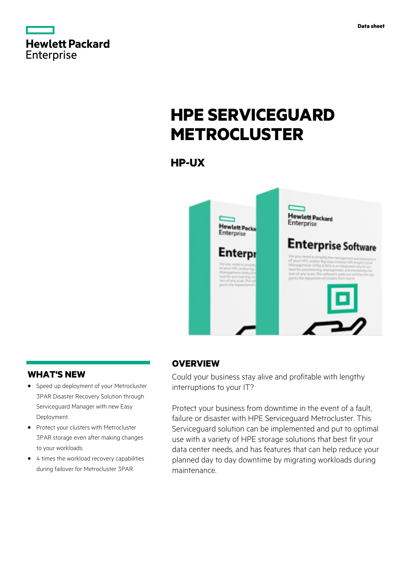



# **HPE SERVICEGUARD METROCLUSTER**

**HP-UX**



# **WHAT'S NEW**

- **·** Speed up deployment of your Metrocluster 3PAR Disaster Recovery Solution through Serviceguard Manager with new Easy Deployment.
- **·** Protect your clusters with Metrocluster 3PAR storage even after making changes to your workloads.
- **·** 4 times the workload recovery capabilities during failover for Metrocluster 3PAR.

# **OVERVIEW**

Could your business stay alive and profitable with lengthy interruptions to your IT?

Protect your business from downtime in the event of a fault, failure or disaster with HPE Serviceguard Metrocluster. This Serviceguard solution can be implemented and put to optimal use with a variety of HPE storage solutions that best fit your data center needs, and has features that can help reduce your planned day to day downtime by migrating workloads during maintenance.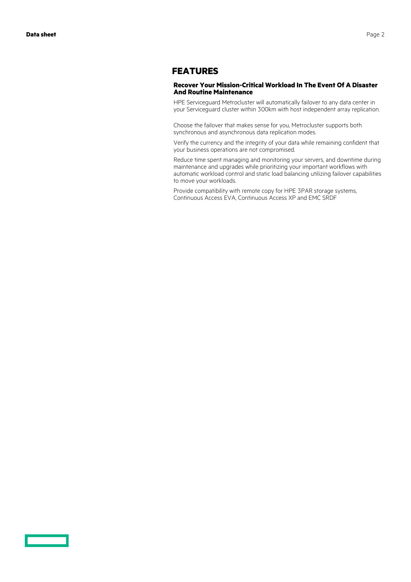<u> Tan</u>

## **FEATURES**

#### **Recover Your Mission-Critical Workload In The Event Of A Disaster And Routine Maintenance**

HPE Serviceguard Metrocluster will automatically failover to any data center in your Serviceguard cluster within 300km with host independent array replication.

Choose the failover that makes sense for you, Metrocluster supports both synchronous and asynchronous data replication modes.

Verify the currency and the integrity of your data while remaining confident that your business operations are not compromised.

Reduce time spent managing and monitoring your servers, and downtime during maintenance and upgrades while prioritizing your important workflows with automatic workload control and static load balancing utilizing failover capabilities to move your workloads.

Provide compatibility with remote copy for HPE 3PAR storage systems, Continuous Access EVA, Continuous Access XP and EMC SRDF